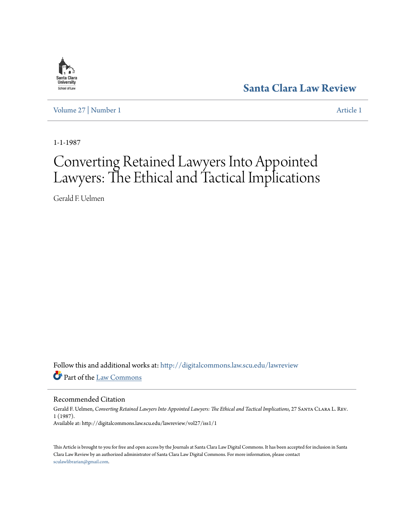

**[Santa Clara Law Review](http://digitalcommons.law.scu.edu/lawreview?utm_source=digitalcommons.law.scu.edu%2Flawreview%2Fvol27%2Fiss1%2F1&utm_medium=PDF&utm_campaign=PDFCoverPages)**

[Volume 27](http://digitalcommons.law.scu.edu/lawreview/vol27?utm_source=digitalcommons.law.scu.edu%2Flawreview%2Fvol27%2Fiss1%2F1&utm_medium=PDF&utm_campaign=PDFCoverPages) | [Number 1](http://digitalcommons.law.scu.edu/lawreview/vol27/iss1?utm_source=digitalcommons.law.scu.edu%2Flawreview%2Fvol27%2Fiss1%2F1&utm_medium=PDF&utm_campaign=PDFCoverPages) [Article 1](http://digitalcommons.law.scu.edu/lawreview/vol27/iss1/1?utm_source=digitalcommons.law.scu.edu%2Flawreview%2Fvol27%2Fiss1%2F1&utm_medium=PDF&utm_campaign=PDFCoverPages)

1-1-1987

# Converting Retained Lawyers Into Appointed Lawyers: The Ethical and Tactical Implications

Gerald F. Uelmen

Follow this and additional works at: [http://digitalcommons.law.scu.edu/lawreview](http://digitalcommons.law.scu.edu/lawreview?utm_source=digitalcommons.law.scu.edu%2Flawreview%2Fvol27%2Fiss1%2F1&utm_medium=PDF&utm_campaign=PDFCoverPages) Part of the [Law Commons](http://network.bepress.com/hgg/discipline/578?utm_source=digitalcommons.law.scu.edu%2Flawreview%2Fvol27%2Fiss1%2F1&utm_medium=PDF&utm_campaign=PDFCoverPages)

Recommended Citation

Gerald F. Uelmen, *Converting Retained Lawyers Into Appointed Lawyers: The Ethical and Tactical Implications*, 27 Santa Clara L. Rev. 1 (1987). Available at: http://digitalcommons.law.scu.edu/lawreview/vol27/iss1/1

This Article is brought to you for free and open access by the Journals at Santa Clara Law Digital Commons. It has been accepted for inclusion in Santa Clara Law Review by an authorized administrator of Santa Clara Law Digital Commons. For more information, please contact [sculawlibrarian@gmail.com](mailto:sculawlibrarian@gmail.com).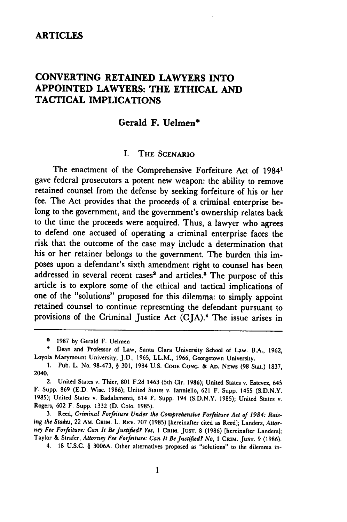## **ARTICLES**

# **CONVERTING RETAINED LAWYERS INTO APPOINTED LAWYERS: THE ETHICAL AND TACTICAL IMPLICATIONS**

# **Gerald F. Uelmen\***

#### **I.** THE **SCENARIO**

The enactment of the Comprehensive Forfeiture Act of 1984' gave federal prosecutors a potent new weapon: the ability to remove retained counsel from the defense by seeking forfeiture of his or her fee. The Act provides that the proceeds of a criminal enterprise belong to the government, and the government's ownership relates back to the time the proceeds were acquired. Thus, a lawyer who agrees to defend one accused of operating a criminal enterprise faces the risk that the outcome of the case may include a determination that his or her retainer belongs to the government. The burden this imposes upon a defendant's sixth amendment right to counsel has been addressed in several recent cases<sup>2</sup> and articles.<sup>8</sup> The purpose of this article is to explore some of the ethical and tactical implications of one of the "solutions" proposed for this dilemma: to simply appoint retained counsel to continue representing the defendant pursuant to provisions of the Criminal Justice Act (CJA).4 The issue arises in

3. Reed, *Criminal Forfeiture Under the Comprehensive Forfeiture Act of 1984: Raising the Stakes,* 22 AM. **CRitM.** L. REV. 707 (1985) [hereinafter cited as Reed]; Landers, *Attorney Fee Forfeiture: Can It* Be *Justified? Yes, 1* CRIM. **JUST. 8 (1986)** [hereinafter Landers]; Taylor & Strafer, *Attorney Fee Forfeiture:* Can *It Be Justified? No,* **1** CRIM. **JUST.** 9 (1986).

4. **18** U.S.C. § 3006A. Other alternatives proposed as "solutions" to the dilemma in-

**O** 1987 **by** Gerald F. Uelmen

<sup>\*</sup> Dean and Professor of Law, Santa Clara University School of Law. B.A., 1962, Loyola Marymount University; J.D., 1965, LL.M., 1966, Georgetown University.

<sup>1.</sup> Pub. L. No. 98-473, § 301, 1984 U.S. **CODE CONG.** & **AD. NEWS (98** Stat.) 1837, 2040.

<sup>2.</sup> United States v. Thier, 801 F.2d 1463 (5th Cir. 1986); United States v. Estevez, 645 F. Supp. **869 (E.D.** Wisc. 1986); United States v. Ianniello, 621 F. Supp. 1455 (S.D.N.Y. 1985); United States v. Badalamenti, 614 F. Supp. 194 (S.D.N.Y. 1985); United States v. Rogers, 602 F. Supp. 1332 (D. Colo. 1985).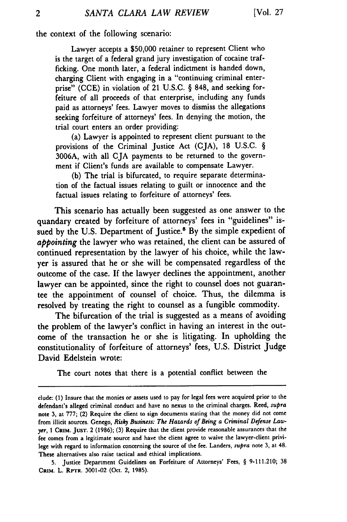the context of the following scenario:

Lawyer accepts a \$50,000 retainer to represent Client who is the target of a federal grand jury investigation of cocaine trafficking. One month later, a federal indictment is handed down, charging Client with engaging in a "continuing criminal enterprise" (CCE) in violation of 21 U.S.C. § 848, and seeking forfeiture of all proceeds of that enterprise, including any funds paid as attorneys' fees. Lawyer moves to dismiss the allegations seeking forfeiture of attorneys' fees. In denying the motion, the trial court enters an order providing:

(a) Lawyer is appointed to represent client pursuant to the provisions of the Criminal Justice Act (CJA), 18 U.S.C. § 3006A, with all CJA payments to be returned to the government if Client's funds are available to compensate Lawyer.

(b) The trial is bifurcated, to require separate determination of the factual issues relating to guilt or innocence and the factual issues relating to forfeiture of attorneys' fees.

This scenario has actually been suggested as one answer to the quandary created by forfeiture of attorneys' fees in "guidelines" issued by the U.S. Department of Justice.<sup>6</sup> By the simple expedient of *appointing* the lawyer who was retained, the client can be assured of continued representation by the lawyer of his choice, while the lawyer is assured that he or she will be compensated regardless of the outcome of the case. If the lawyer declines the appointment, another lawyer can be appointed, since the right to counsel does not guarantee the appointment of counsel of choice. Thus, the dilemma is resolved by treating the right to counsel as a fungible commodity.

The bifurcation of the trial is suggested as a means of avoiding the problem of the lawyer's conflict in having an interest in the outcome of the transaction he or she is litigating. In upholding the constitutionality of forfeiture of attorneys' fees, U.S. District Judge David Edelstein wrote:

The court notes that there is a potential conflict between the

dude: **(1)** Insure that the monies or assets used to pay for legal fees were acquired prior to the defendant's alleged criminal conduct and have no nexus to the criminal charges. Reed, *supra* note **3,** at 777; (2) Require the client to sign documents stating that the money did not come from illicit sources. Genego, *Risky Business: The Hazards of Being* a *Criminal Defense Lawyer,* 1 **CRIM. JUST.** 2 (1986); **(3)** Require that the client provide reasonable assurances that the fee comes from a legitimate source and have the client agree to waive the lawyer-client privilege with regard to information concerning the source of the fee. Landers, *supra* note 3, at 48. These alternatives also raise tactical and ethical implications.

<sup>5.</sup> Justice Department Guidelines on Forfeiture of Attorneys' Fees, § 9-111.210; **38** CRIM. L. RPTR. 3001-02 (Oct. 2, 1985).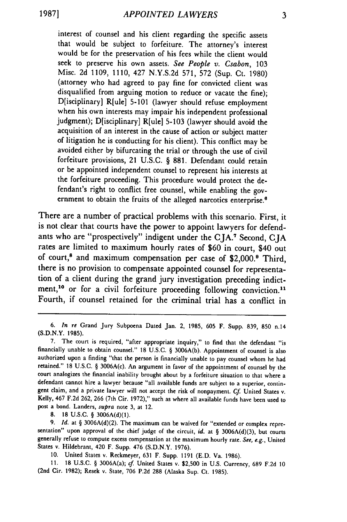interest of counsel and his client regarding the specific assets that would be subject to forfeiture. The attorney's interest would be for the preservation of his fees while the client would seek to preserve his own assets. *See People v. Csabon,* 103 Misc. 2d 1109, 1110, 427 N.Y.S.2d 571, 572 (Sup. Ct. 1980) (attorney who had agreed to pay fine for convicted client was disqualified from arguing motion to reduce or vacate the fine); D[isciplinary] R[ule] 5-101 (lawyer should refuse employment when his own interests may impair his independent professional judgment); D[isciplinary] R[ule] 5-103 (lawyer should avoid the acquisition of an interest in the cause of action or subject matter of litigation he is conducting for his client). This conflict may be avoided either by bifurcating the trial or through the use of civil forfeiture provisions, 21 U.S.C. § 881. Defendant could retain or be appointed independent counsel to represent his interests at the forfeiture proceeding. This procedure would protect the defendant's right to conflict free counsel, while enabling the government to obtain the fruits of the alleged narcotics enterprise.<sup>6</sup>

There are a number of practical problems with this scenario. First, it is not clear that courts have the power to appoint lawyers for defendants who are "prospectively" indigent under the **CJA.'** Second, CJA rates are limited to maximum hourly rates of \$60 in court, \$40 out of court,<sup>8</sup> and maximum compensation per case of \$2,000.<sup>9</sup> Third, there is no provision to compensate appointed counsel for representation of a client during the grand jury investigation preceding indictment,<sup>10</sup> or for a civil forfeiture proceeding following conviction.<sup>11</sup> Fourth, if counsel retained for the criminal trial has a conflict in

8. 18 U.S.C. § 3006A(d)(1).

9. *Id.* at § 3006A(d)(2). The maximum can be waived for "extended or complex repre sentation" upon approval of the chief judge of the circuit, id. at § 3006A(d)(3), but courts generally refuse to compute excess compensation at the maximum hourly rate. *See, e.g.,* United States v. Hildebrant, 420 F. Supp. 476 (S.D.N.Y. 1976).

10. United States v. Reckmeyer, **631** F. Supp. 1191 **(E.D.** Va. 1986).

11. 18 U.S.C. § 3006A(a); cf United States v. \$2,500 in U.S. Currency, 689 **F.2d** 10 (2nd Cir. 1982); Resek v. State, 706 **P.2d 288** (Alaska Sup. Ct. 1985).

<sup>6.</sup> *In* re Grand Jury Subpoena Dated Jan. 2, 1985, 605 F. Supp. 839, 850 n.14 (S.D.N.Y. 1985).

**<sup>7.</sup>** The court is required, "after appropriate inquiry," to find that the defendant "is financially unable to obtain counsel." 18 U.S.C. § 3006A(b). Appointment of counsel is also authorized upon a finding "that the person is financially unable to pay counsel whom he had retained." 18 U.S.C. § 3006A(c). An argument in favor of the appointment **of** counsel **by** the court analogizes the financial inability brought about **by** a forfeiture situation to that where a defendant cannot hire a lawyer because "all available funds are subject to a superior, contingent claim, and a private lawyer will not accept the risk of nonpayment. *Cf* United States v. Kelly, 467 **F.2d** 262, **266** (7th Cir. 1972)," such as where all available funds have been used to post a bond. Landers, *supra* note **3,** at 12.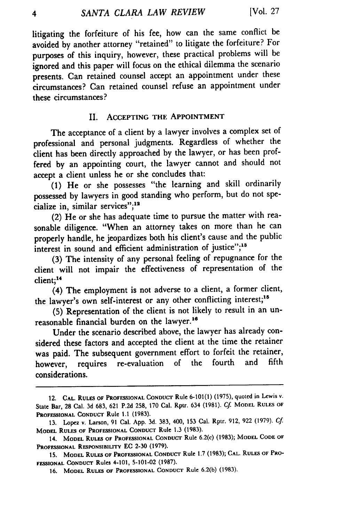litigating the forfeiture of his fee, how can the same conflict be avoided by another attorney "retained" to litigate the forfeiture? For purposes of this inquiry, however, these practical problems will be ignored and this paper will focus on the ethical dilemma the scenario presents. Can retained counsel accept an appointment under these circumstances? Can retained counsel refuse an appointment under these circumstances?

# II. ACCEPTING THE **APPOINTMENT**

The acceptance of a client by a lawyer involves a complex set of professional and personal judgments. Regardless of whether the client has been directly approached by the lawyer, or has been proffered by an appointing court, the lawyer cannot and should not accept a client unless he or she concludes that:

**(1)** He or she possesses "the learning and skill ordinarily possessed **by** lawyers in good standing who perform, but do not specialize in, similar services";<sup>12</sup>

(2) He or she has adequate time to pursue the matter with reasonable diligence. "When an attorney takes on more than he can properly handle, he jeopardizes both his client's cause and the public interest in sound and efficient administration of justice";<sup>18</sup>

(3) The intensity of any personal feeling of repugnance for the client will not impair the effectiveness of representation of the client; <sup>14</sup>

(4) The employment is not adverse to a client, a former client, the lawyer's own self-interest or any other conflicting interest;<sup>15</sup>

(5) Representation of the client is not likely to result in an unreasonable financial burden on the lawyer.<sup>16</sup>

Under the scenario described above, the lawyer has already considered these factors and accepted the client at the time the retainer was paid. The subsequent government effort to forfeit the retainer,<br>however requires re-evaluation of the fourth and fifth however, requires re-evaluation of the fourth considerations.

<sup>12.</sup> **CAL. RULES OF PROFESSIONAL CONDUCT** Rule 6-101(1) **(1975),** quoted in **Lewis** v. State Bar, **28** Cal. 3d 683, 621 P.2d 258, 170 Cal. Rptr. 634 (1981). **Cf MODEL RULES OF PROFESSIONAL CONDUCT** Rule 1.1 **(1983).**

<sup>13.</sup> Lopez v. Larson, 91 Cal. App. 3d. 383, 400, 153 Cal. Rptr. 912, 922 (1979). Cf **MODEL RULES OF PROFESSIONAL CONDUCT** Rule **1.3** (1983).

<sup>14.</sup> **MODEL RULES OF PROFESSIONAL CONDUCT** Rule **6.2(c) (1983); MODEL CODE OF PROFESSIONAL RESPONSIBILITY EC 2-30 (1979).**

**<sup>15.</sup> MODEL RULES OF PROFESSIONAL CONDUCT** Rule **1.7** (1983); **CAL. RULES OF PRO-FESSIONAL CONDUCT** Rules 4-101, **5-101-02 (1987).**

**<sup>16.</sup> MODEL RULES OF PROFESSIONAL CONDUCT** Rule **6.2(b) (1983).**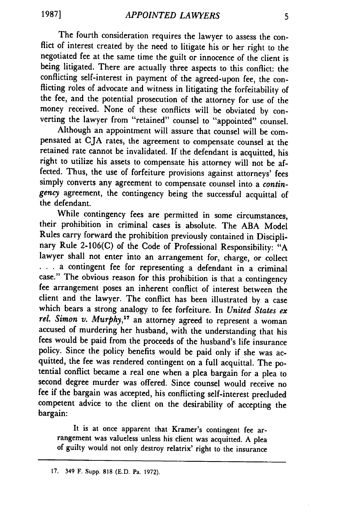The fourth consideration requires the lawyer to assess the conflict of interest created by the need to litigate his or her right to the negotiated fee at the same time the guilt or innocence of the client is being litigated. There are actually three aspects to this conflict: the conflicting self-interest in payment of the agreed-upon fee, the conflicting roles of advocate and witness in litigating the forfeitability of the fee, and the potential prosecution of the attorney for use of the money received. None of these conflicts will be obviated by converting the lawyer from "retained" counsel to "appointed" counsel.

Although an appointment will assure that counsel will be compensated at CJA rates, the agreement to compensate counsel at the retained rate cannot be invalidated. If the defendant is acquitted, his right to utilize his assets to compensate his attorney will not be affected. Thus, the use of forfeiture provisions against attorneys' fees simply converts any agreement to compensate counsel into a *contingency* agreement, the contingency being the successful acquittal of the defendant.

While contingency fees are permitted in some circumstances, their prohibition in criminal cases is absolute. The ABA Model Rules carry forward the prohibition previously contained in Disciplinary Rule 2-106(C) of the Code of Professional Responsibility: "A lawyer shall not enter into an arrangement for, charge, or collect ... a contingent fee for representing a defendant in a criminal case." The obvious reason for this prohibition is that a contingency fee arrangement poses an inherent conflict of interest between the client and the lawyer. The conflict has been illustrated by a case which bears a strong analogy to fee forfeiture. In *United States ex rel. Simon v. Murphy,17* an attorney agreed to represent a woman accused of murdering her husband, with the understanding that his fees would be paid from the proceeds of the husband's life insurance policy. Since the policy benefits would be paid only if she was acquitted, the fee was rendered contingent on a full acquittal. The po- tential conflict became a real one when a plea bargain for a plea to second degree murder was offered. Since counsel would receive no fee if the bargain was accepted, his conflicting self-interest precluded competent advice to the client on the desirability of accepting the bargain:

It is at once apparent that Kramer's contingent fee arrangement was valueless unless his client was acquitted. A plea of guilty would not only destroy relatrix' right to the insurance

<sup>17. 349</sup> F. Supp. 818 (E.D. Pa. 1972).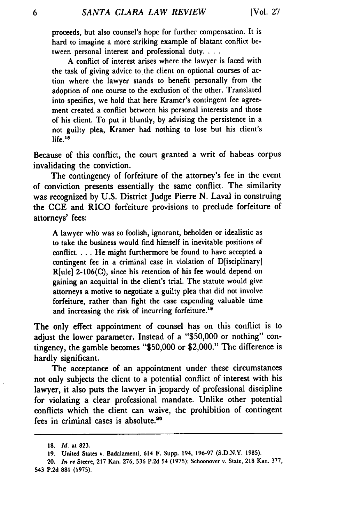proceeds, but also counsel's hope for further compensation. It is hard to imagine a more striking example of blatant conflict between personal interest and professional duty. . . .

A conflict of interest arises where the lawyer is faced with the task of giving advice to the client on optional courses of action where the lawyer stands to benefit personally from the adoption of one course to the exclusion of the other. Translated into specifics, we hold that here Kramer's contingent fee agreement created a conflict between his personal interests and those of his client. To put it bluntly, by advising the persistence in a not guilty plea, Kramer had nothing to lose but his client's life. <sup>11</sup>

Because of this conflict, the court granted a writ of habeas corpus invalidating the conviction.

The contingency of forfeiture of the attorney's fee in the event of conviction presents essentially the same conflict. The similarity was recognized by U.S. District Judge Pierre N. Laval in construing the **CCE** and RICO forfeiture provisions to preclude forfeiture of attorneys' fees:

A lawyer who was so foolish, ignorant, beholden or idealistic as to take the business would find himself in inevitable positions of conflict.... He might furthermore be found to have accepted a contingent fee in a criminal case in violation of D[isciplinary] R[ule] 2-106(C), since his retention of his fee would depend on gaining an acquittal in the client's trial. The statute would give attorneys a motive to negotiate a guilty plea that did not involve forfeiture, rather than fight the case expending valuable time and increasing the risk of incurring forfeiture.<sup>19</sup>

The only effect appointment of counsel has on this conflict is to adjust the lower parameter. Instead of a "\$50,000 or nothing" contingency, the gamble becomes "\$50,000 or \$2,000." The difference is hardly significant.

The acceptance of an appointment under these circumstances not only subjects the client to a potential conflict of interest with his lawyer, it also puts the lawyer in jeopardy of professional discipline for violating a clear professional mandate. Unlike other potential conflicts which the client can waive, the prohibition of contingent fees in criminal cases is absolute."0

**<sup>18.</sup>** *Id.* at **823.**

**<sup>19.</sup>** United States v. Badalamenti, 614 F. Supp. 194, **196-97 (S.D.N.Y. 1985).**

<sup>20.</sup> *In* re Steere, **217** Kan. **276, 536 P.2d** 54 **(1975);** Schoonover v. State, **218** Kan. 377, 543 **P.2d 881 (1975).**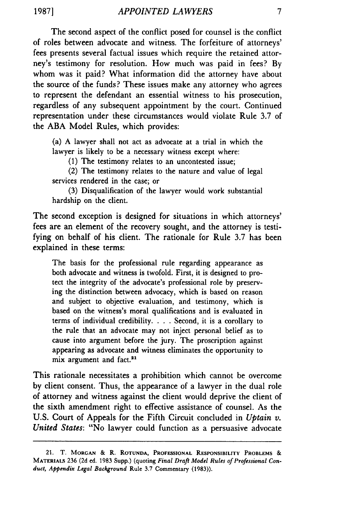The second aspect of the conflict posed for counsel is the conflict of roles between advocate and witness. The forfeiture of attorneys' fees presents several factual issues which require the retained attorney's testimony for resolution. How much was paid in fees? **By** whom was it paid? What information did the attorney have about the source of the funds? These issues make any attorney who agrees to represent the defendant an essential witness to his prosecution, regardless of any subsequent appointment by the court. Continued representation under these circumstances would violate Rule **3.7** of the ABA Model Rules, which provides:

(a) A lawyer shall not act as advocate at a trial in which the lawyer is likely to be a necessary witness except where:

**(1)** The testimony relates to an uncontested issue;

(2) The testimony relates to the nature and value of legal services rendered in the case; or

**(3)** Disqualification of the lawyer would work substantial hardship on the client.

The second exception is designed for situations in which attorneys' fees are an element of the recovery sought, and the attorney is testifying on behalf of his client. The rationale for Rule **3.7** has been explained in these terms:

The basis for the professional rule regarding appearance as both advocate and witness is twofold. First, it is designed to protect the integrity of the advocate's professional role by preserving the distinction between advocacy, which **is** based on reason and subject to objective evaluation, and testimony, which is based on the witness's moral qualifications and is evaluated in terms of individual credibility. . **.** .Second, it is a corollary to the rule that an advocate may not inject personal belief as to cause into argument before the jury. The proscription against appearing as advocate and witness eliminates the opportunity to mix argument and fact.<sup>21</sup>

This rationale necessitates a prohibition which cannot be overcome by client consent. Thus, the appearance of a lawyer in the dual role of attorney and witness against the client would deprive the client of the sixth amendment right to effective assistance of counsel. As the U.S. Court of Appeals for the Fifth Circuit concluded in *Uptain v. United States:* "No lawyer could function as a persuasive advocate

<sup>21.</sup> T. **MORGAN** *&* R. **ROTUNDA, PROFESSIONAL RESPONSIBILITY PROBLEMS** & MATERIALS 236 **(2d** ed. 1983 Supp.) (quoting *Final Draft Model Rules of Professional Conduct, Appendix Legal Background* Rule 3.7 Commentary (1983)).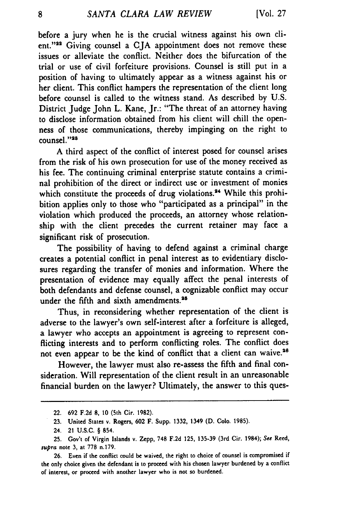before a jury when he is the crucial witness against his own client."<sup>22</sup> Giving counsel a CJA appointment does not remove these issues or alleviate the conflict. Neither does the bifurcation of the trial or use of civil forfeiture provisions. Counsel is still put in a position of having to ultimately appear as a witness against his or her client. This conflict hampers the representation of the client long before counsel is called to the witness stand. As described by U.S. District Judge John L. Kane, Jr.: "The threat of an attorney having to disclose information obtained from his client will chill the openness of those communications, thereby impinging on the right to counsel."<sup>23</sup>

**A** third aspect of the conflict of interest posed for counsel arises from the risk of his own prosecution for use of the money received as his fee. The continuing criminal enterprise statute contains a criminal prohibition of the direct or indirect use or investment of monies which constitute the proceeds of drug violations.<sup>24</sup> While this prohibition applies only to those who "participated as a principal" in the violation which produced the proceeds, an attorney whose relationship with the client precedes the current retainer may face a significant risk of prosecution.

The possibility of having to defend against a criminal charge creates a potential conflict in penal interest as to evidentiary disclosures regarding the transfer of monies and information. Where the presentation of evidence may equally affect the penal interests of both defendants and defense counsel, a cognizable conflict may occur under the fifth and sixth amendments.<sup>25</sup>

Thus, in reconsidering whether representation of the client is adverse to the lawyer's own self-interest after a forfeiture is alleged, a lawyer who accepts an appointment is agreeing to represent conflicting interests and to perform conflicting roles. The conflict does not even appear to be the kind of conflict that a client can waive.<sup>26</sup>

However, the lawyer must also re-assess the fifth and final consideration. Will representation of the client result in an unreasonable financial burden on the lawyer? Ultimately, the answer to this ques-

<sup>22.</sup> **692 F.2d 8,** 10 (5th Cir. **1982).**

**<sup>23.</sup>** United States v. Rogers, **602** F. Supp. **1332,** 1349 **(D. Colo. 1985).**

<sup>24. 21</sup> U.S.C. § 854.

**<sup>25.</sup>** Gov't of Virgin Islands v. Zepp, 748 **F.2d 125, 135-39** (3rd Cir. 1984); **See** Reed, **supra** note **3,** at 778 n.179.

**<sup>26.</sup>** Even if the conflict could be waived, the right to choice of counsel is compromised if the only choice given the defendant is to proceed with his chosen lawyer burdened **by** a conflict of interest, or proceed with another lawyer who is not so burdened.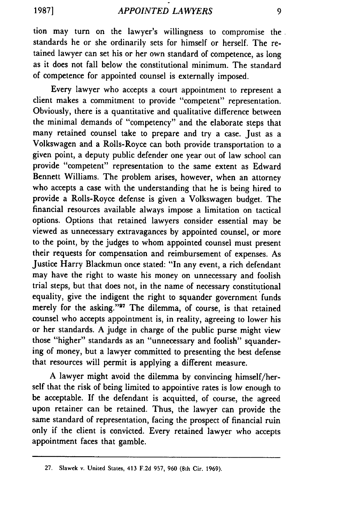tion may turn on the lawyer's willingness to compromise the standards he or she ordinarily sets for himself or herself. The retained lawyer can set his or her own standard of competence, as long as it does not fall below the constitutional minimum. The standard of competence for appointed counsel is externally imposed.

Every lawyer who accepts a court appointment to represent a client makes a commitment to provide "competent" representation. Obviously, there is a quantitative and qualitative difference between the minimal demands of "competency" and the elaborate steps that many retained counsel take to prepare and try a case. Just as a Volkswagen and a Rolls-Royce can both provide transportation to a given point, a deputy public defender one year out of law school can provide "competent" representation to the same extent as Edward Bennett Williams. The problem arises, however, when an attorney who accepts a case with the understanding that he is being hired to provide a Rolls-Royce defense is given a Volkswagen budget. The financial resources available always impose a limitation on tactical options. Options that retained lawyers consider essential may be viewed as unnecessary extravagances by appointed counsel, or more to the point, by the judges to whom appointed counsel must present their requests for compensation and reimbursement of expenses. As Justice Harry Blackmun once stated: "In any event, a rich defendant may have the right to waste his money on unnecessary and foolish trial steps, but that does not, in the name of necessary constitutional equality, give the indigent the right to squander government funds merely for the asking."<sup>27</sup> The dilemma, of course, is that retained counsel who accepts appointment is, in reality, agreeing to lower his or her standards. A judge in charge of the public purse might view those "higher" standards as an "unnecessary and foolish" squandering of money, but a lawyer committed to presenting the best defense that resources will permit is applying a different measure.

A lawyer might avoid the dilemma by convincing himself/herself that the risk of being limited to appointive rates is low enough to be acceptable. If the defendant is acquitted, of course, the agreed upon retainer can be retained. Thus, the lawyer can provide the same standard of representation, facing the prospect of financial ruin only if the client is convicted. Every retained lawyer who accepts appointment faces that gamble.

<sup>27.</sup> Slawek v. United States, 413 F.2d 957, 960 (8th Cir. 1969).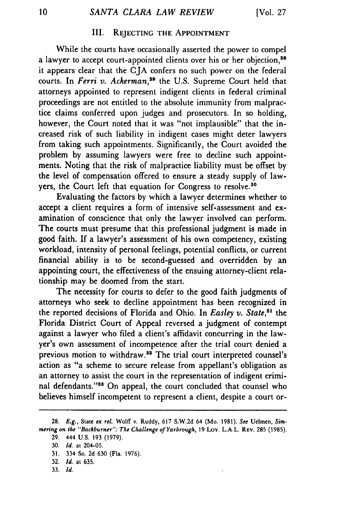# III. **REJECTING THE APPOINTMENT**

While the courts have occasionally asserted the power to compel a lawyer to accept court-appointed clients over his or her objection,<sup>28</sup> it appears clear that the CJA confers no such power on the federal courts. In *Ferri v. Ackerman*,<sup>29</sup> the U.S. Supreme Court held that attorneys appointed to represent indigent clients in federal criminal proceedings are not entitled to the absolute immunity from malpractice claims conferred upon judges and prosecutors. In so holding, however, the Court noted that it was "not implausible" that the increased risk of such liability in indigent cases might deter lawyers from taking such appointments. Significantly, the Court avoided the problem by assuming lawyers were free to decline such appointments. Noting that the risk of malpractice liability must be offset by the level of compensation offered to ensure a steady supply of lawyers, the Court left that equation for Congress to resolve.<sup>30</sup>

Evaluating the factors by which a lawyer determines whether to accept a client requires a form of intensive self-assessment and examination of conscience that only the lawyer involved can perform. The courts must presume that this professional judgment is made in good faith. If a lawyer's assessment of his own competency, existing workload, intensity of personal feelings, potential conflicts, or current financial ability is to be second-guessed and overridden by an appointing court, the effectiveness of the ensuing attorney-client relationship may be doomed from the start.

The necessity for courts to defer to the good faith judgments of attorneys who seek to decline appointment has been recognized in the reported decisions of Florida and Ohio. In *Easley v. State, <sup>1</sup>*the Florida District Court of Appeal reversed a judgment of contempt against a lawyer who filed a client's affidavit concurring in the lawyer's own assessment of incompetence after the trial court denied a previous motion to withdraw.<sup>32</sup> The trial court interpreted counsel's action as "a scheme to secure release from appellant's obligation as an attorney to assist the court in the representation of indigent criminal defendants."<sup>38</sup> On appeal, the court concluded that counsel who believes himself incompetent to represent a client, despite a court or-

**33.** *Id.*

**<sup>28.</sup>** E.g., State *ex rel.* Wolff v. Ruddy, 617 S.W.2d 64 (Mo. **1981).** See Uelmen, Simmering *on* the *"Backburner":* The Challenge of Yarbrough, 19 Loy. L.A.L. REV. **285** (1985).

**<sup>29.</sup>** 444 U.S. 193 (1979).

<sup>30.</sup> *Id.* at 204-05.

<sup>31. 334</sup> So. 2d 630 (Fla. 1976).

<sup>32.</sup> *Id.* at 635.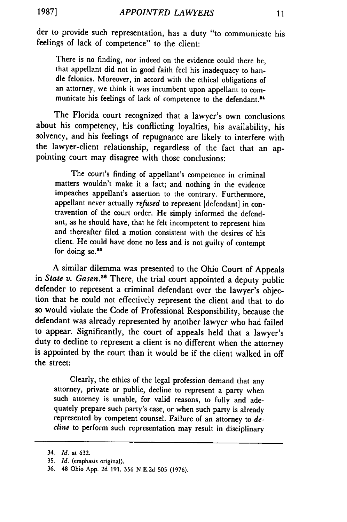der to provide such representation, has a duty "to communicate his feelings of lack of competence" to the client:

There is no finding, nor indeed on the evidence could there be, that appellant did not in good faith feel his inadequacy to handle felonies. Moreover, in accord with the ethical obligations of an attorney, we think it was incumbent upon appellant to communicate his feelings of lack of competence to the defendant.<sup>34</sup>

The Florida court recognized that a lawyer's own conclusions about his competency, his conflicting loyalties, his availability, his solvency, and his feelings of repugnance are likely to interfere with the lawyer-client relationship, regardless of the fact that an appointing court may disagree with those conclusions:

The court's finding of appellant's competence in criminal matters wouldn't make it a fact; and nothing in the evidence impeaches appellant's assertion to the contrary. Furthermore, appellant never actually *refused* to represent [defendant] in contravention of the court order. He simply informed the defendant, as he should have, that he felt incompetent to represent him and thereafter filed a motion consistent with the desires of his client. He could have done no less and is not guilty of contempt for doing  $so.^{85}$ 

**A** similar dilemma was presented to the Ohio Court of Appeals in *State v. Gasen.36* There, the trial court appointed a deputy public defender to represent a criminal defendant over the lawyer's objection that he could not effectively represent the client and that to do so would violate the Code of Professional Responsibility, because the defendant was already represented **by** another lawyer who had failed to appear. Significantly, the court of appeals held that a lawyer's duty to decline to represent a client is no different when the attorney is appointed **by** the court than it would be if the client walked in off the street:

Clearly, the ethics of the legal profession demand that any attorney, private or public, decline to represent a party when such attorney is unable, for valid reasons, to fully and adequately prepare such party's case, or when such party is already represented **by** competent counsel. Failure of an attorney to *decline* to perform such representation may result in disciplinary

<sup>34.</sup> *Id.* at **632.**

**<sup>35.</sup>** *Id.* (emphasis original).

**<sup>36.</sup>** 48 Ohio **App. 2d 191, 356 N.E.2d 505 (1976).**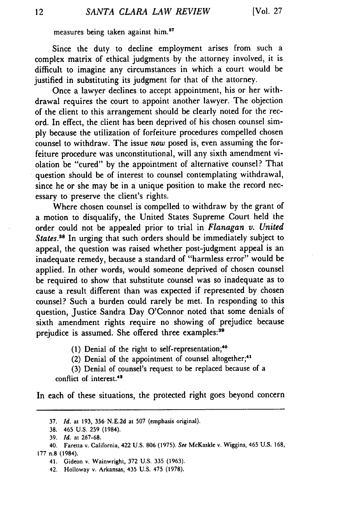measures being taken against him.<sup>37</sup>

Since the duty to decline employment arises from such a complex matrix of ethical judgments by the attorney involved, it is difficult to imagine any circumstances in which a court would be justified in substituting its judgment for that of the attorney.

Once a lawyer declines to accept appointment, his or her withdrawal requires the court to appoint another lawyer. The objection of the client to this arrangement should be clearly noted for the record. In effect, the client has been deprived of his chosen counsel simply because the utilization of forfeiture procedures compelled chosen counsel to withdraw. The issue *now* posed is, even assuming the forfeiture procedure was unconstitutional, will any sixth amendment violation be "cured" by the appointment of alternative counsel? That question should be of interest to counsel contemplating withdrawal, since he or she may be in a unique position to make the record necessary to preserve the client's rights.

Where chosen counsel is compelled to withdraw by the grant of a motion to disqualify, the United States Supreme Court held the order could not be appealed prior to trial in *Flanagan v. United* States.<sup>88</sup> In urging that such orders should be immediately subject to appeal, the question was raised whether post-judgment appeal is an inadequate remedy, because a standard of "harmless error" would be applied. In other words, would someone deprived of chosen counsel be required to show that substitute counsel was so inadequate as to cause a result different than was expected if represented by chosen counsel? Such a burden could rarely be met. In responding to this question, Justice Sandra Day O'Connor noted that some denials of sixth amendment rights require no showing of prejudice because prejudice is assumed. She offered three examples:<sup>39</sup>

(1) Denial of the right to self-representation;<sup>40</sup>

(2) Denial of the appointment of counsel altogether;<sup>41</sup>

(3) Denial of counsel's request to be replaced because of a conflict of interest.42

In each of these situations, the protected right goes beyond concern

<sup>37.</sup> *Id.* at 193, 356 N.E.2d at 507 (emphasis original).

<sup>38. 465</sup> U.S. 259 (1984).

<sup>39.</sup> *Id.* at 267-68.

<sup>40.</sup> Faretta v. California, 422 U.S. 806 (1975). See McKaskle v. Wiggins, 465 U.S. 168, 177 n.8 (1984).

<sup>41.</sup> Gideon v. Wainwright, 372 U.S. 335 (1963).

<sup>42.</sup> Holloway v. Arkansas, 435 U.S. 475 (1978).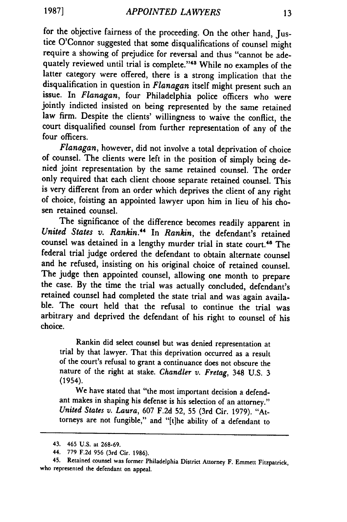for the objective fairness of the proceeding. On the other hand, Justice O'Connor suggested that some disqualifications of counsel might require a showing of prejudice for reversal and thus "cannot be adequately reviewed until trial is complete."<sup>43</sup> While no examples of the latter category were offered, there is a strong implication that the disqualification in question in *Flanagan* itself might present such an issue. In *Flanagan,* four Philadelphia police officers who were jointly indicted insisted on being represented **by** the same retained law firm. Despite the clients' willingness to waive the conflict, the court disqualified counsel from further representation of any of the four officers.

*Flanagan,* however, did not involve a total deprivation of choice of counsel. The clients were left in the position of simply being denied joint representation **by** the same retained counsel. The order only required that each client choose separate retained counsel. This is very different from an order which deprives the client of any right of choice, foisting an appointed lawyer upon him in lieu of his chosen retained counsel.

The significance of the difference becomes readily apparent in *United States v. Rankin."* In *Rankin,* the defendant's retained counsel was detained in a lengthy murder trial in state court.<sup>45</sup> The federal trial judge ordered the defendant to obtain alternate counsel and he refused, insisting on his original choice of retained counsel.<br>The judge then appointed counsel, allowing one month to prepare the case. By the time the trial was actually concluded, defendant's retained counsel had completed the state trial and was again available. The court held that the refusal to continue the trial was arbitrary and deprived the defendant of his right to counsel of his choice.

Rankin did select counsel but was denied representation at trial by that lawyer. That this deprivation occurred as a result of the court's refusal to grant a continuance does not obscure the nature of the right at stake. *Chandler v. Fretag,* 348 U.S. 3 (1954).

We have stated that "the most important decision a defendant makes in shaping his defense is his selection of an attorney." *United States v. Laura,* 607 F.2d 52, 55 (3rd Cir. 1979). "Attorneys are not fungible," and "[tihe ability of a defendant to

<sup>43. 465</sup> U.S. at 268-69.

<sup>44. 779</sup> F.2d 956 (3rd Cir. 1986).

<sup>45.</sup> Retained counsel was former Philadelphia District Attorney F. Emmett Fitzpatrick, who represented the defendant on appeal.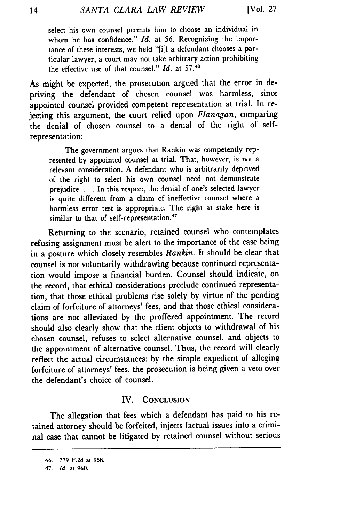select his own counsel permits him to choose an individual in whom he has confidence." *Id.* at 56. Recognizing the importance of these interests, we held "[i]f a defendant chooses a particular lawyer, a court may not take arbitrary action prohibiting the effective use of that counsel." *Id.* at **5746**

As might be expected, the prosecution argued that the error in depriving the defendant of chosen counsel was harmless, since appointed counsel provided competent representation at trial. In rejecting this argument, the court relied upon *Flanagan,* comparing the denial of chosen counsel to a denial of the right of selfrepresentation:

The government argues that Rankin was competently represented by appointed counsel at trial. That, however, is not a relevant consideration. A defendant who is arbitrarily deprived of the right to select his own counsel need not demonstrate prejudice **....** In this respect, the denial of one's selected lawyer is quite different from a claim of ineffective counsel where a harmless error test is appropriate. The right at stake here is similar to that of self-representation.<sup>47</sup>

Returning to the scenario, retained counsel who contemplates refusing assignment must be alert to the importance of the case being in a posture which closely resembles *Rankin.* It should be clear that counsel is not voluntarily withdrawing because continued representation would impose a financial burden. Counsel should indicate, on the record, that ethical considerations preclude continued representation, that those ethical problems rise solely by virtue of the pending claim of forfeiture of attorneys' fees, and that those ethical considerations are not alleviated by the proffered appointment. The record should also clearly show that the client objects to withdrawal of his chosen counsel, refuses to select alternative counsel, and objects to the appointment of alternative counsel. Thus, the record will clearly reflect the actual circumstances: by the simple expedient of alleging forfeiture of attorneys' fees, the prosecution is being given a veto over the defendant's choice of counsel.

## IV. **CONCLUSION**

The allegation that fees which a defendant has paid to his retained attorney should be forfeited, injects factual issues into a criminal case that cannot be litigated by retained counsel without serious

<sup>46. 779</sup> **F.2d** at **958.**

<sup>47.</sup> *Id.* at **960.**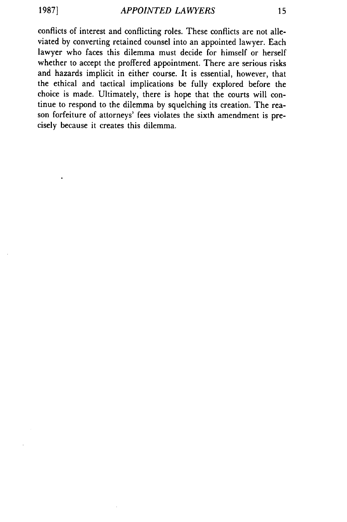conflicts of interest and conflicting roles. These conflicts are not alleviated by converting retained counsel into an appointed lawyer. Each lawyer who faces this dilemma must decide for himself or herself whether to accept the proffered appointment. There are serious risks and hazards implicit in either course. It is essential, however, that the ethical and tactical implications be fully explored before the choice is made. Ultimately, there is hope that the courts will continue to respond to the dilemma by squelching its creation. The reason forfeiture of attorneys' fees violates the sixth amendment is precisely because it creates this dilemma.